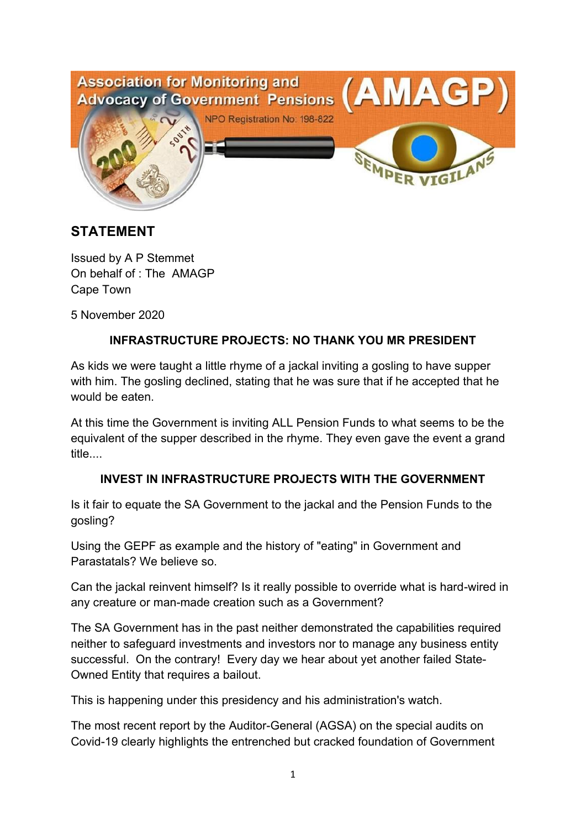

# **STATEMENT**

Issued by A P Stemmet On behalf of : The AMAGP Cape Town

5 November 2020

## **INFRASTRUCTURE PROJECTS: NO THANK YOU MR PRESIDENT**

As kids we were taught a little rhyme of a jackal inviting a gosling to have supper with him. The gosling declined, stating that he was sure that if he accepted that he would be eaten.

At this time the Government is inviting ALL Pension Funds to what seems to be the equivalent of the supper described in the rhyme. They even gave the event a grand title....

#### **INVEST IN INFRASTRUCTURE PROJECTS WITH THE GOVERNMENT**

Is it fair to equate the SA Government to the jackal and the Pension Funds to the gosling?

Using the GEPF as example and the history of "eating" in Government and Parastatals? We believe so.

Can the jackal reinvent himself? Is it really possible to override what is hard-wired in any creature or man-made creation such as a Government?

The SA Government has in the past neither demonstrated the capabilities required neither to safeguard investments and investors nor to manage any business entity successful. On the contrary! Every day we hear about yet another failed State-Owned Entity that requires a bailout.

This is happening under this presidency and his administration's watch.

The most recent report by the Auditor-General (AGSA) on the special audits on Covid-19 clearly highlights the entrenched but cracked foundation of Government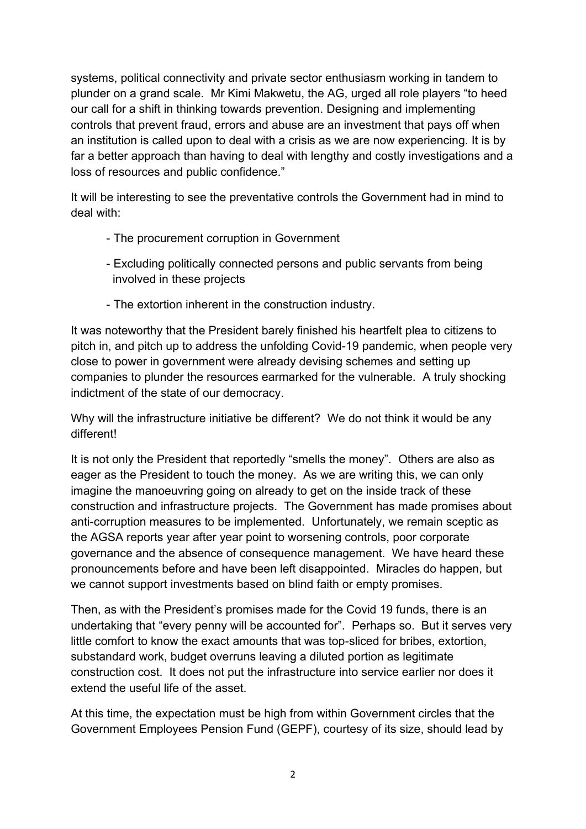systems, political connectivity and private sector enthusiasm working in tandem to plunder on a grand scale. Mr Kimi Makwetu, the AG, urged all role players "to heed our call for a shift in thinking towards prevention. Designing and implementing controls that prevent fraud, errors and abuse are an investment that pays off when an institution is called upon to deal with a crisis as we are now experiencing. It is by far a better approach than having to deal with lengthy and costly investigations and a loss of resources and public confidence."

It will be interesting to see the preventative controls the Government had in mind to deal with:

- The procurement corruption in Government
- Excluding politically connected persons and public servants from being involved in these projects
- The extortion inherent in the construction industry.

It was noteworthy that the President barely finished his heartfelt plea to citizens to pitch in, and pitch up to address the unfolding Covid-19 pandemic, when people very close to power in government were already devising schemes and setting up companies to plunder the resources earmarked for the vulnerable. A truly shocking indictment of the state of our democracy.

Why will the infrastructure initiative be different? We do not think it would be any different!

It is not only the President that reportedly "smells the money". Others are also as eager as the President to touch the money. As we are writing this, we can only imagine the manoeuvring going on already to get on the inside track of these construction and infrastructure projects. The Government has made promises about anti-corruption measures to be implemented. Unfortunately, we remain sceptic as the AGSA reports year after year point to worsening controls, poor corporate governance and the absence of consequence management. We have heard these pronouncements before and have been left disappointed. Miracles do happen, but we cannot support investments based on blind faith or empty promises.

Then, as with the President's promises made for the Covid 19 funds, there is an undertaking that "every penny will be accounted for". Perhaps so. But it serves very little comfort to know the exact amounts that was top-sliced for bribes, extortion, substandard work, budget overruns leaving a diluted portion as legitimate construction cost. It does not put the infrastructure into service earlier nor does it extend the useful life of the asset.

At this time, the expectation must be high from within Government circles that the Government Employees Pension Fund (GEPF), courtesy of its size, should lead by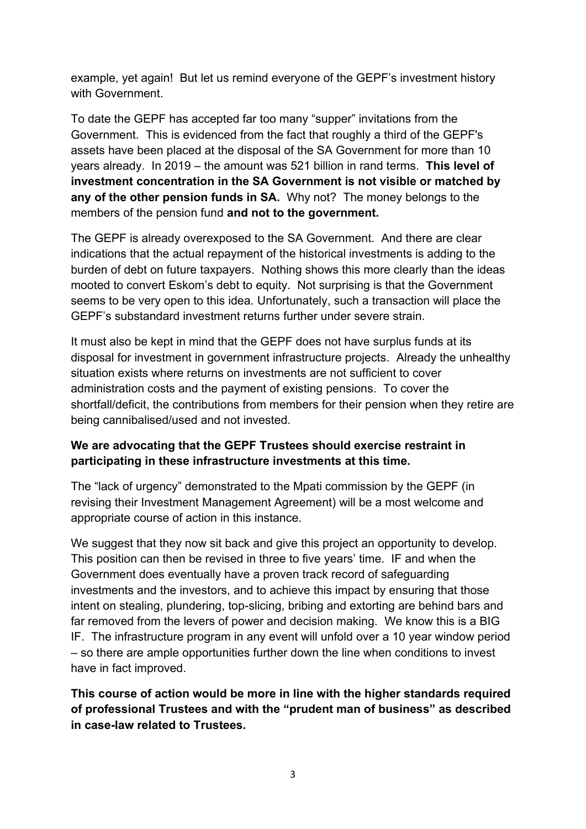example, yet again! But let us remind everyone of the GEPF's investment history with Government.

To date the GEPF has accepted far too many "supper" invitations from the Government. This is evidenced from the fact that roughly a third of the GEPF's assets have been placed at the disposal of the SA Government for more than 10 years already. In 2019 – the amount was 521 billion in rand terms. **This level of investment concentration in the SA Government is not visible or matched by any of the other pension funds in SA.** Why not? The money belongs to the members of the pension fund **and not to the government.**

The GEPF is already overexposed to the SA Government. And there are clear indications that the actual repayment of the historical investments is adding to the burden of debt on future taxpayers. Nothing shows this more clearly than the ideas mooted to convert Eskom's debt to equity. Not surprising is that the Government seems to be very open to this idea. Unfortunately, such a transaction will place the GEPF's substandard investment returns further under severe strain.

It must also be kept in mind that the GEPF does not have surplus funds at its disposal for investment in government infrastructure projects. Already the unhealthy situation exists where returns on investments are not sufficient to cover administration costs and the payment of existing pensions. To cover the shortfall/deficit, the contributions from members for their pension when they retire are being cannibalised/used and not invested.

## **We are advocating that the GEPF Trustees should exercise restraint in participating in these infrastructure investments at this time.**

The "lack of urgency" demonstrated to the Mpati commission by the GEPF (in revising their Investment Management Agreement) will be a most welcome and appropriate course of action in this instance.

We suggest that they now sit back and give this project an opportunity to develop. This position can then be revised in three to five years' time. IF and when the Government does eventually have a proven track record of safeguarding investments and the investors, and to achieve this impact by ensuring that those intent on stealing, plundering, top-slicing, bribing and extorting are behind bars and far removed from the levers of power and decision making. We know this is a BIG IF. The infrastructure program in any event will unfold over a 10 year window period – so there are ample opportunities further down the line when conditions to invest have in fact improved.

**This course of action would be more in line with the higher standards required of professional Trustees and with the "prudent man of business" as described in case-law related to Trustees.**